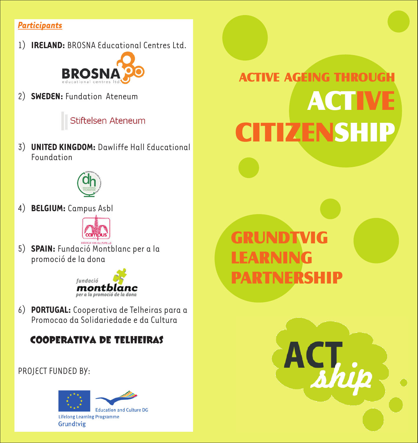#### *Participants*

1) **IRELAND:** BROSNA Educational Centres Ltd.



2) **SWEDEN:** Fundation Ateneum

Stiftelsen Ateneum

3) **UNITED KINGDOM:** Dawliffe Hall Educational Foundation



4) **BELGIUM:** Campus Asbl



5) **SPAIN:** Fundació Montblanc per a la promoció de la dona



6) **PORTUGAL:** Cooperativa de Telheiras para a Promocao da Solidariedade e da Cultura

 **COOPERATIVA DE TELHEIRAS**

PROJECT FUNDED BY:



**ACTIVE AGÉING THROUG** ACTIVE **CITIZENSHIP** 

# GRUNDTVIG LEARNING PARTNERSHIP